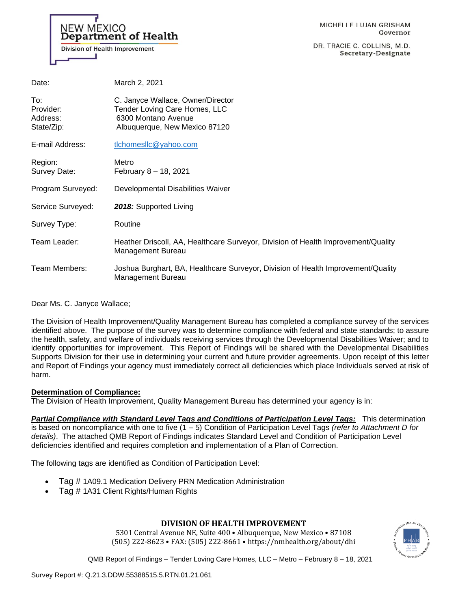NEW MEXICO **Department of Health Division of Health Improvement** 

DR. TRACIE C. COLLINS, M.D. Secretary-Designate

| Date:                                      | March 2, 2021                                                                                                              |
|--------------------------------------------|----------------------------------------------------------------------------------------------------------------------------|
| To:<br>Provider:<br>Address:<br>State/Zip: | C. Janyce Wallace, Owner/Director<br>Tender Loving Care Homes, LLC<br>6300 Montano Avenue<br>Albuquerque, New Mexico 87120 |
| E-mail Address:                            | tlchomesllc@yahoo.com                                                                                                      |
| Region:<br>Survey Date:                    | Metro<br>February 8 - 18, 2021                                                                                             |
| Program Surveyed:                          | Developmental Disabilities Waiver                                                                                          |
| Service Surveyed:                          | 2018: Supported Living                                                                                                     |
| Survey Type:                               | Routine                                                                                                                    |
| Team Leader:                               | Heather Driscoll, AA, Healthcare Surveyor, Division of Health Improvement/Quality<br>Management Bureau                     |
| Team Members:                              | Joshua Burghart, BA, Healthcare Surveyor, Division of Health Improvement/Quality<br>Management Bureau                      |

Dear Ms. C. Janyce Wallace;

The Division of Health Improvement/Quality Management Bureau has completed a compliance survey of the services identified above. The purpose of the survey was to determine compliance with federal and state standards; to assure the health, safety, and welfare of individuals receiving services through the Developmental Disabilities Waiver; and to identify opportunities for improvement. This Report of Findings will be shared with the Developmental Disabilities Supports Division for their use in determining your current and future provider agreements. Upon receipt of this letter and Report of Findings your agency must immediately correct all deficiencies which place Individuals served at risk of harm.

#### **Determination of Compliance:**

The Division of Health Improvement, Quality Management Bureau has determined your agency is in:

*Partial Compliance with Standard Level Tags and Conditions of Participation Level Tags:* This determination is based on noncompliance with one to five (1 – 5) Condition of Participation Level Tags *(refer to Attachment D for details)*. The attached QMB Report of Findings indicates Standard Level and Condition of Participation Level deficiencies identified and requires completion and implementation of a Plan of Correction.

The following tags are identified as Condition of Participation Level:

- Tag # 1A09.1 Medication Delivery PRN Medication Administration
- Tag # 1A31 Client Rights/Human Rights

# **DIVISION OF HEALTH IMPROVEMENT**

5301 Central Avenue NE, Suite 400 • Albuquerque, New Mexico • 87108 (505) 222-8623 • FAX: (505) 222-8661 • <https://nmhealth.org/about/dhi>

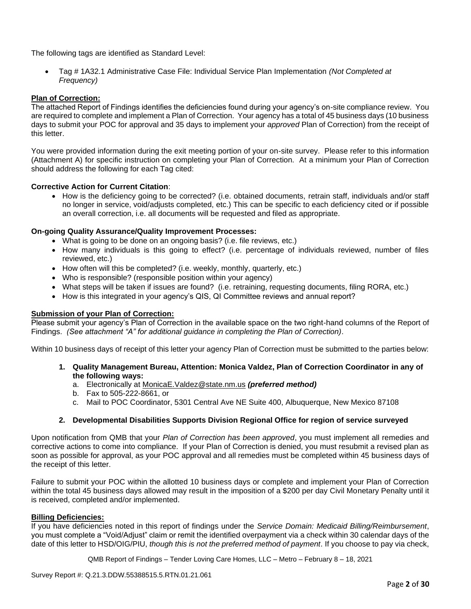The following tags are identified as Standard Level:

• Tag # 1A32.1 Administrative Case File: Individual Service Plan Implementation *(Not Completed at Frequency)*

## **Plan of Correction:**

The attached Report of Findings identifies the deficiencies found during your agency's on-site compliance review. You are required to complete and implement a Plan of Correction. Your agency has a total of 45 business days (10 business days to submit your POC for approval and 35 days to implement your *approved* Plan of Correction) from the receipt of this letter.

You were provided information during the exit meeting portion of your on-site survey. Please refer to this information (Attachment A) for specific instruction on completing your Plan of Correction. At a minimum your Plan of Correction should address the following for each Tag cited:

## **Corrective Action for Current Citation**:

• How is the deficiency going to be corrected? (i.e. obtained documents, retrain staff, individuals and/or staff no longer in service, void/adjusts completed, etc.) This can be specific to each deficiency cited or if possible an overall correction, i.e. all documents will be requested and filed as appropriate.

#### **On-going Quality Assurance/Quality Improvement Processes:**

- What is going to be done on an ongoing basis? (i.e. file reviews, etc.)
- How many individuals is this going to effect? (i.e. percentage of individuals reviewed, number of files reviewed, etc.)
- How often will this be completed? (i.e. weekly, monthly, quarterly, etc.)
- Who is responsible? (responsible position within your agency)
- What steps will be taken if issues are found? (i.e. retraining, requesting documents, filing RORA, etc.)
- How is this integrated in your agency's QIS, QI Committee reviews and annual report?

#### **Submission of your Plan of Correction:**

Please submit your agency's Plan of Correction in the available space on the two right-hand columns of the Report of Findings. *(See attachment "A" for additional guidance in completing the Plan of Correction)*.

Within 10 business days of receipt of this letter your agency Plan of Correction must be submitted to the parties below:

- **1. Quality Management Bureau, Attention: Monica Valdez, Plan of Correction Coordinator in any of the following ways:**
	- a. Electronically at [MonicaE.Valdez@state.nm.us](mailto:MonicaE.Valdez@state.nm.us) *(preferred method)*
	- b. Fax to 505-222-8661, or
	- c. Mail to POC Coordinator, 5301 Central Ave NE Suite 400, Albuquerque, New Mexico 87108

#### **2. Developmental Disabilities Supports Division Regional Office for region of service surveyed**

Upon notification from QMB that your *Plan of Correction has been approved*, you must implement all remedies and corrective actions to come into compliance. If your Plan of Correction is denied, you must resubmit a revised plan as soon as possible for approval, as your POC approval and all remedies must be completed within 45 business days of the receipt of this letter.

Failure to submit your POC within the allotted 10 business days or complete and implement your Plan of Correction within the total 45 business days allowed may result in the imposition of a \$200 per day Civil Monetary Penalty until it is received, completed and/or implemented.

#### **Billing Deficiencies:**

If you have deficiencies noted in this report of findings under the *Service Domain: Medicaid Billing/Reimbursement*, you must complete a "Void/Adjust" claim or remit the identified overpayment via a check within 30 calendar days of the date of this letter to HSD/OIG/PIU, *though this is not the preferred method of payment*. If you choose to pay via check,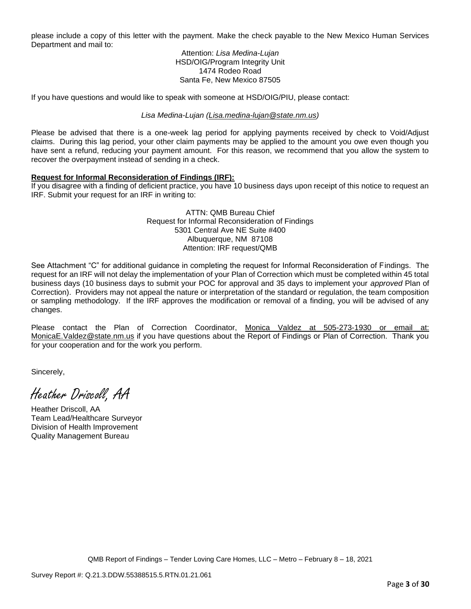please include a copy of this letter with the payment. Make the check payable to the New Mexico Human Services Department and mail to:

> Attention: *Lisa Medina-Lujan* HSD/OIG/Program Integrity Unit 1474 Rodeo Road Santa Fe, New Mexico 87505

If you have questions and would like to speak with someone at HSD/OIG/PIU, please contact:

#### *Lisa Medina-Lujan [\(Lisa.medina-lujan@state.nm.us\)](mailto:Lisa.medina-lujan@state.nm.us)*

Please be advised that there is a one-week lag period for applying payments received by check to Void/Adjust claims. During this lag period, your other claim payments may be applied to the amount you owe even though you have sent a refund, reducing your payment amount. For this reason, we recommend that you allow the system to recover the overpayment instead of sending in a check.

## **Request for Informal Reconsideration of Findings (IRF):**

If you disagree with a finding of deficient practice, you have 10 business days upon receipt of this notice to request an IRF. Submit your request for an IRF in writing to:

> ATTN: QMB Bureau Chief Request for Informal Reconsideration of Findings 5301 Central Ave NE Suite #400 Albuquerque, NM 87108 Attention: IRF request/QMB

See Attachment "C" for additional guidance in completing the request for Informal Reconsideration of Findings. The request for an IRF will not delay the implementation of your Plan of Correction which must be completed within 45 total business days (10 business days to submit your POC for approval and 35 days to implement your *approved* Plan of Correction). Providers may not appeal the nature or interpretation of the standard or regulation, the team composition or sampling methodology. If the IRF approves the modification or removal of a finding, you will be advised of any changes.

Please contact the Plan of Correction Coordinator, Monica Valdez at 505-273-1930 or email at: [MonicaE.Valdez@state.nm.us](mailto:MonicaE.Valdez@state.nm.us) if you have questions about the Report of Findings or Plan of Correction. Thank you for your cooperation and for the work you perform.

Sincerely,

Heather Driscoll, AA

Heather Driscoll, AA Team Lead/Healthcare Surveyor Division of Health Improvement Quality Management Bureau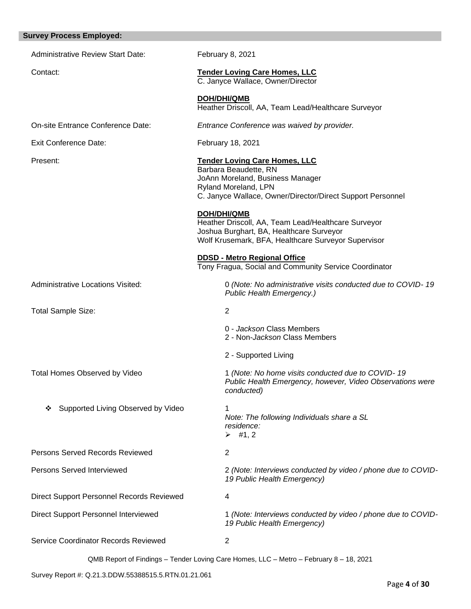| <b>Survey Process Employed:</b>           |                                                                                                                                                                                                               |
|-------------------------------------------|---------------------------------------------------------------------------------------------------------------------------------------------------------------------------------------------------------------|
| <b>Administrative Review Start Date:</b>  | February 8, 2021                                                                                                                                                                                              |
| Contact:                                  | <b>Tender Loving Care Homes, LLC</b><br>C. Janyce Wallace, Owner/Director                                                                                                                                     |
|                                           | <b>DOH/DHI/QMB</b><br>Heather Driscoll, AA, Team Lead/Healthcare Surveyor                                                                                                                                     |
| On-site Entrance Conference Date:         | Entrance Conference was waived by provider.                                                                                                                                                                   |
| <b>Exit Conference Date:</b>              | February 18, 2021                                                                                                                                                                                             |
| Present:                                  | <b>Tender Loving Care Homes, LLC</b><br>Barbara Beaudette, RN<br>JoAnn Moreland, Business Manager<br>Ryland Moreland, LPN<br>C. Janyce Wallace, Owner/Director/Direct Support Personnel<br><b>DOH/DHI/QMB</b> |
|                                           | Heather Driscoll, AA, Team Lead/Healthcare Surveyor<br>Joshua Burghart, BA, Healthcare Surveyor<br>Wolf Krusemark, BFA, Healthcare Surveyor Supervisor                                                        |
|                                           | <b>DDSD - Metro Regional Office</b><br>Tony Fragua, Social and Community Service Coordinator                                                                                                                  |
| Administrative Locations Visited:         | 0 (Note: No administrative visits conducted due to COVID-19<br>Public Health Emergency.)                                                                                                                      |
| <b>Total Sample Size:</b>                 | $\overline{2}$                                                                                                                                                                                                |
|                                           | 0 - Jackson Class Members<br>2 - Non-Jackson Class Members                                                                                                                                                    |
|                                           | 2 - Supported Living                                                                                                                                                                                          |
| <b>Total Homes Observed by Video</b>      | 1 (Note: No home visits conducted due to COVID-19<br>Public Health Emergency, however, Video Observations were<br>conducted)                                                                                  |
| Supported Living Observed by Video<br>❖   | Note: The following Individuals share a SL<br>residence:<br>$\triangleright$ #1, 2                                                                                                                            |
| Persons Served Records Reviewed           | $\overline{2}$                                                                                                                                                                                                |
| Persons Served Interviewed                | 2 (Note: Interviews conducted by video / phone due to COVID-<br>19 Public Health Emergency)                                                                                                                   |
| Direct Support Personnel Records Reviewed | 4                                                                                                                                                                                                             |
| Direct Support Personnel Interviewed      | 1 (Note: Interviews conducted by video / phone due to COVID-<br>19 Public Health Emergency)                                                                                                                   |
| Service Coordinator Records Reviewed      | 2                                                                                                                                                                                                             |
|                                           |                                                                                                                                                                                                               |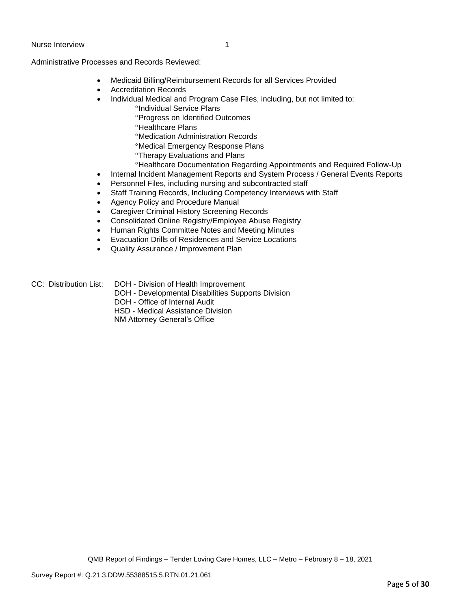#### Nurse Interview 1

Administrative Processes and Records Reviewed:

- Medicaid Billing/Reimbursement Records for all Services Provided
- Accreditation Records
- Individual Medical and Program Case Files, including, but not limited to:
	- <sup>o</sup>Individual Service Plans
		- Progress on Identified Outcomes
	- **<sup>o</sup>Healthcare Plans**
	- Medication Administration Records
	- Medical Emergency Response Plans
	- **<sup>o</sup>Therapy Evaluations and Plans**
	- Healthcare Documentation Regarding Appointments and Required Follow-Up
- Internal Incident Management Reports and System Process / General Events Reports
- Personnel Files, including nursing and subcontracted staff
- Staff Training Records, Including Competency Interviews with Staff
- Agency Policy and Procedure Manual
- Caregiver Criminal History Screening Records
- Consolidated Online Registry/Employee Abuse Registry
- Human Rights Committee Notes and Meeting Minutes
- Evacuation Drills of Residences and Service Locations
- Quality Assurance / Improvement Plan

CC: Distribution List: DOH - Division of Health Improvement

- DOH Developmental Disabilities Supports Division
- DOH Office of Internal Audit
- HSD Medical Assistance Division

NM Attorney General's Office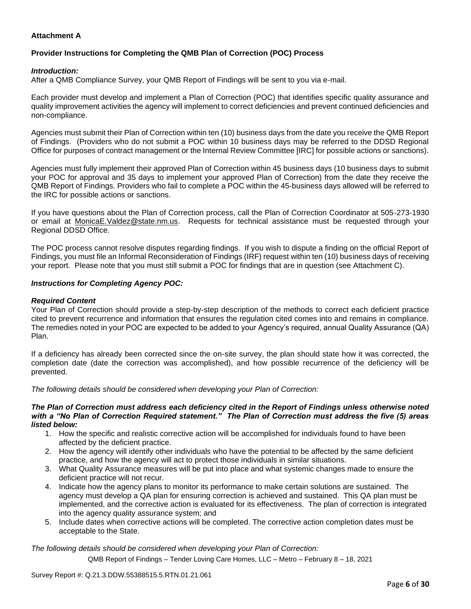# **Attachment A**

# **Provider Instructions for Completing the QMB Plan of Correction (POC) Process**

#### *Introduction:*

After a QMB Compliance Survey, your QMB Report of Findings will be sent to you via e-mail.

Each provider must develop and implement a Plan of Correction (POC) that identifies specific quality assurance and quality improvement activities the agency will implement to correct deficiencies and prevent continued deficiencies and non-compliance.

Agencies must submit their Plan of Correction within ten (10) business days from the date you receive the QMB Report of Findings. (Providers who do not submit a POC within 10 business days may be referred to the DDSD Regional Office for purposes of contract management or the Internal Review Committee [IRC] for possible actions or sanctions).

Agencies must fully implement their approved Plan of Correction within 45 business days (10 business days to submit your POC for approval and 35 days to implement your approved Plan of Correction) from the date they receive the QMB Report of Findings. Providers who fail to complete a POC within the 45-business days allowed will be referred to the IRC for possible actions or sanctions.

If you have questions about the Plan of Correction process, call the Plan of Correction Coordinator at 505-273-1930 or email at [MonicaE.Valdez@state.nm.us.](mailto:MonicaE.Valdez@state.nm.us) Requests for technical assistance must be requested through your Regional DDSD Office.

The POC process cannot resolve disputes regarding findings. If you wish to dispute a finding on the official Report of Findings, you must file an Informal Reconsideration of Findings (IRF) request within ten (10) business days of receiving your report. Please note that you must still submit a POC for findings that are in question (see Attachment C).

#### *Instructions for Completing Agency POC:*

#### *Required Content*

Your Plan of Correction should provide a step-by-step description of the methods to correct each deficient practice cited to prevent recurrence and information that ensures the regulation cited comes into and remains in compliance. The remedies noted in your POC are expected to be added to your Agency's required, annual Quality Assurance (QA) Plan.

If a deficiency has already been corrected since the on-site survey, the plan should state how it was corrected, the completion date (date the correction was accomplished), and how possible recurrence of the deficiency will be prevented.

*The following details should be considered when developing your Plan of Correction:*

#### *The Plan of Correction must address each deficiency cited in the Report of Findings unless otherwise noted with a "No Plan of Correction Required statement." The Plan of Correction must address the five (5) areas listed below:*

- 1. How the specific and realistic corrective action will be accomplished for individuals found to have been affected by the deficient practice.
- 2. How the agency will identify other individuals who have the potential to be affected by the same deficient practice, and how the agency will act to protect those individuals in similar situations.
- 3. What Quality Assurance measures will be put into place and what systemic changes made to ensure the deficient practice will not recur.
- 4. Indicate how the agency plans to monitor its performance to make certain solutions are sustained. The agency must develop a QA plan for ensuring correction is achieved and sustained. This QA plan must be implemented, and the corrective action is evaluated for its effectiveness. The plan of correction is integrated into the agency quality assurance system; and
- 5. Include dates when corrective actions will be completed. The corrective action completion dates must be acceptable to the State.

*The following details should be considered when developing your Plan of Correction:*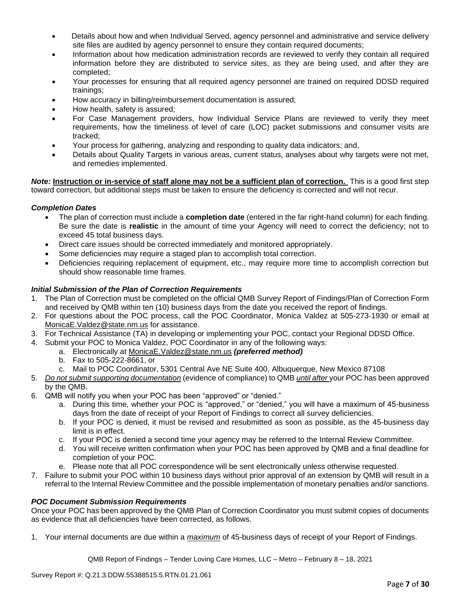- Details about how and when Individual Served, agency personnel and administrative and service delivery site files are audited by agency personnel to ensure they contain required documents;
- Information about how medication administration records are reviewed to verify they contain all required information before they are distributed to service sites, as they are being used, and after they are completed;
- Your processes for ensuring that all required agency personnel are trained on required DDSD required trainings;
- How accuracy in billing/reimbursement documentation is assured;
- How health, safety is assured;
- For Case Management providers, how Individual Service Plans are reviewed to verify they meet requirements, how the timeliness of level of care (LOC) packet submissions and consumer visits are tracked;
- Your process for gathering, analyzing and responding to quality data indicators; and,
- Details about Quality Targets in various areas, current status, analyses about why targets were not met, and remedies implemented.

*Note:* **Instruction or in-service of staff alone may not be a sufficient plan of correction.** This is a good first step toward correction, but additional steps must be taken to ensure the deficiency is corrected and will not recur.

## *Completion Dates*

- The plan of correction must include a **completion date** (entered in the far right-hand column) for each finding. Be sure the date is **realistic** in the amount of time your Agency will need to correct the deficiency; not to exceed 45 total business days.
- Direct care issues should be corrected immediately and monitored appropriately.
- Some deficiencies may require a staged plan to accomplish total correction.
- Deficiencies requiring replacement of equipment, etc., may require more time to accomplish correction but should show reasonable time frames.

## *Initial Submission of the Plan of Correction Requirements*

- 1. The Plan of Correction must be completed on the official QMB Survey Report of Findings/Plan of Correction Form and received by QMB within ten (10) business days from the date you received the report of findings.
- 2. For questions about the POC process, call the POC Coordinator, Monica Valdez at 505-273-1930 or email at [MonicaE.Valdez@state.nm.us](mailto:MonicaE.Valdez@state.nm.us) for assistance.
- 3. For Technical Assistance (TA) in developing or implementing your POC, contact your Regional DDSD Office.
- 4. Submit your POC to Monica Valdez, POC Coordinator in any of the following ways:
	- a. Electronically at [MonicaE.Valdez@state.nm.us](mailto:MonicaE.Valdez@state.nm.us) *(preferred method)*
		- b. Fax to 505-222-8661, or
		- c. Mail to POC Coordinator, 5301 Central Ave NE Suite 400, Albuquerque, New Mexico 87108
- 5. *Do not submit supporting documentation* (evidence of compliance) to QMB *until after* your POC has been approved by the QMB.
- 6. QMB will notify you when your POC has been "approved" or "denied."
	- a. During this time, whether your POC is "approved," or "denied," you will have a maximum of 45-business days from the date of receipt of your Report of Findings to correct all survey deficiencies.
	- b. If your POC is denied, it must be revised and resubmitted as soon as possible, as the 45-business day limit is in effect.
	- c. If your POC is denied a second time your agency may be referred to the Internal Review Committee.
	- d. You will receive written confirmation when your POC has been approved by QMB and a final deadline for completion of your POC.
	- e. Please note that all POC correspondence will be sent electronically unless otherwise requested.
- 7. Failure to submit your POC within 10 business days without prior approval of an extension by QMB will result in a referral to the Internal Review Committee and the possible implementation of monetary penalties and/or sanctions.

#### *POC Document Submission Requirements*

Once your POC has been approved by the QMB Plan of Correction Coordinator you must submit copies of documents as evidence that all deficiencies have been corrected, as follows.

1. Your internal documents are due within a *maximum* of 45-business days of receipt of your Report of Findings.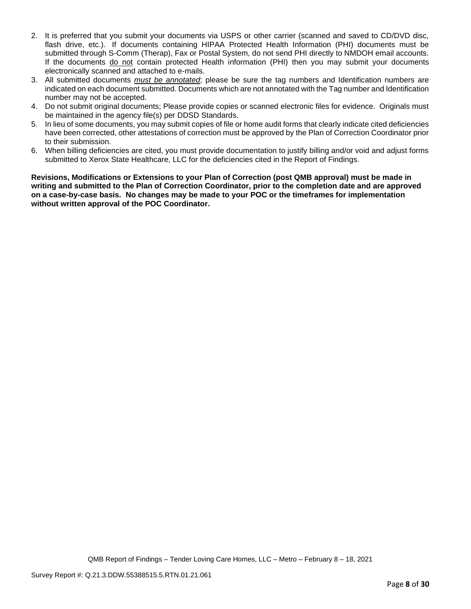- 2. It is preferred that you submit your documents via USPS or other carrier (scanned and saved to CD/DVD disc, flash drive, etc.). If documents containing HIPAA Protected Health Information (PHI) documents must be submitted through S-Comm (Therap), Fax or Postal System, do not send PHI directly to NMDOH email accounts. If the documents do not contain protected Health information (PHI) then you may submit your documents electronically scanned and attached to e-mails.
- 3. All submitted documents *must be annotated*; please be sure the tag numbers and Identification numbers are indicated on each document submitted. Documents which are not annotated with the Tag number and Identification number may not be accepted.
- 4. Do not submit original documents; Please provide copies or scanned electronic files for evidence. Originals must be maintained in the agency file(s) per DDSD Standards.
- 5. In lieu of some documents, you may submit copies of file or home audit forms that clearly indicate cited deficiencies have been corrected, other attestations of correction must be approved by the Plan of Correction Coordinator prior to their submission.
- 6. When billing deficiencies are cited, you must provide documentation to justify billing and/or void and adjust forms submitted to Xerox State Healthcare, LLC for the deficiencies cited in the Report of Findings.

**Revisions, Modifications or Extensions to your Plan of Correction (post QMB approval) must be made in writing and submitted to the Plan of Correction Coordinator, prior to the completion date and are approved on a case-by-case basis. No changes may be made to your POC or the timeframes for implementation without written approval of the POC Coordinator.**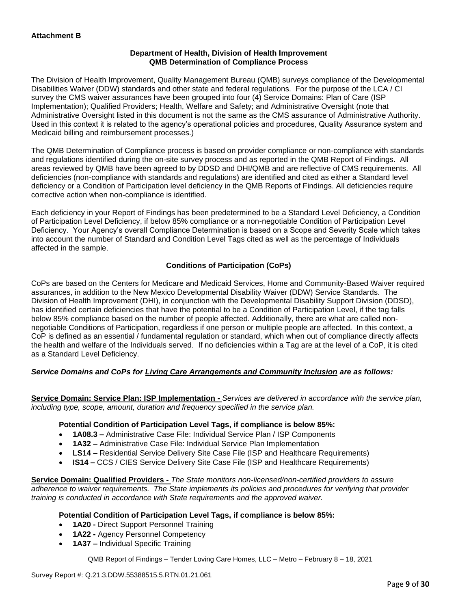## **Department of Health, Division of Health Improvement QMB Determination of Compliance Process**

The Division of Health Improvement, Quality Management Bureau (QMB) surveys compliance of the Developmental Disabilities Waiver (DDW) standards and other state and federal regulations. For the purpose of the LCA / CI survey the CMS waiver assurances have been grouped into four (4) Service Domains: Plan of Care (ISP Implementation); Qualified Providers; Health, Welfare and Safety; and Administrative Oversight (note that Administrative Oversight listed in this document is not the same as the CMS assurance of Administrative Authority. Used in this context it is related to the agency's operational policies and procedures, Quality Assurance system and Medicaid billing and reimbursement processes.)

The QMB Determination of Compliance process is based on provider compliance or non-compliance with standards and regulations identified during the on-site survey process and as reported in the QMB Report of Findings. All areas reviewed by QMB have been agreed to by DDSD and DHI/QMB and are reflective of CMS requirements. All deficiencies (non-compliance with standards and regulations) are identified and cited as either a Standard level deficiency or a Condition of Participation level deficiency in the QMB Reports of Findings. All deficiencies require corrective action when non-compliance is identified.

Each deficiency in your Report of Findings has been predetermined to be a Standard Level Deficiency, a Condition of Participation Level Deficiency, if below 85% compliance or a non-negotiable Condition of Participation Level Deficiency. Your Agency's overall Compliance Determination is based on a Scope and Severity Scale which takes into account the number of Standard and Condition Level Tags cited as well as the percentage of Individuals affected in the sample.

# **Conditions of Participation (CoPs)**

CoPs are based on the Centers for Medicare and Medicaid Services, Home and Community-Based Waiver required assurances, in addition to the New Mexico Developmental Disability Waiver (DDW) Service Standards. The Division of Health Improvement (DHI), in conjunction with the Developmental Disability Support Division (DDSD), has identified certain deficiencies that have the potential to be a Condition of Participation Level, if the tag falls below 85% compliance based on the number of people affected. Additionally, there are what are called nonnegotiable Conditions of Participation, regardless if one person or multiple people are affected. In this context, a CoP is defined as an essential / fundamental regulation or standard, which when out of compliance directly affects the health and welfare of the Individuals served. If no deficiencies within a Tag are at the level of a CoP, it is cited as a Standard Level Deficiency.

# *Service Domains and CoPs for Living Care Arrangements and Community Inclusion are as follows:*

**Service Domain: Service Plan: ISP Implementation -** *Services are delivered in accordance with the service plan, including type, scope, amount, duration and frequency specified in the service plan.*

#### **Potential Condition of Participation Level Tags, if compliance is below 85%:**

- **1A08.3 –** Administrative Case File: Individual Service Plan / ISP Components
- **1A32 –** Administrative Case File: Individual Service Plan Implementation
- **LS14 –** Residential Service Delivery Site Case File (ISP and Healthcare Requirements)
- **IS14 –** CCS / CIES Service Delivery Site Case File (ISP and Healthcare Requirements)

**Service Domain: Qualified Providers -** *The State monitors non-licensed/non-certified providers to assure adherence to waiver requirements. The State implements its policies and procedures for verifying that provider training is conducted in accordance with State requirements and the approved waiver.*

#### **Potential Condition of Participation Level Tags, if compliance is below 85%:**

- **1A20 -** Direct Support Personnel Training
- **1A22 -** Agency Personnel Competency
- **1A37 –** Individual Specific Training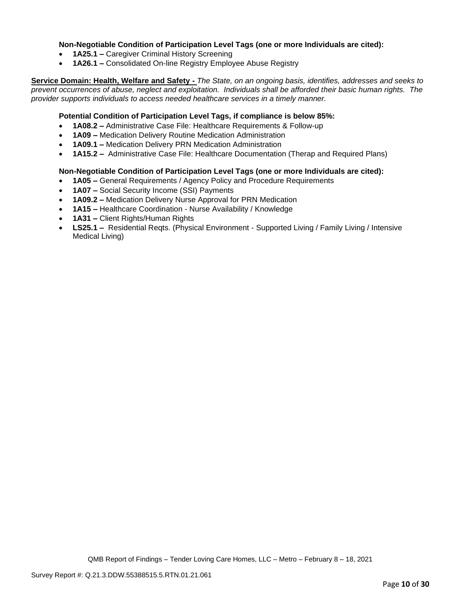#### **Non-Negotiable Condition of Participation Level Tags (one or more Individuals are cited):**

- **1A25.1 –** Caregiver Criminal History Screening
- **1A26.1 –** Consolidated On-line Registry Employee Abuse Registry

**Service Domain: Health, Welfare and Safety -** *The State, on an ongoing basis, identifies, addresses and seeks to prevent occurrences of abuse, neglect and exploitation. Individuals shall be afforded their basic human rights. The provider supports individuals to access needed healthcare services in a timely manner.*

#### **Potential Condition of Participation Level Tags, if compliance is below 85%:**

- **1A08.2 –** Administrative Case File: Healthcare Requirements & Follow-up
- **1A09 –** Medication Delivery Routine Medication Administration
- **1A09.1 –** Medication Delivery PRN Medication Administration
- **1A15.2 –** Administrative Case File: Healthcare Documentation (Therap and Required Plans)

#### **Non-Negotiable Condition of Participation Level Tags (one or more Individuals are cited):**

- **1A05 –** General Requirements / Agency Policy and Procedure Requirements
- **1A07 –** Social Security Income (SSI) Payments
- **1A09.2 –** Medication Delivery Nurse Approval for PRN Medication
- **1A15 –** Healthcare Coordination Nurse Availability / Knowledge
- **1A31 –** Client Rights/Human Rights
- **LS25.1 –** Residential Reqts. (Physical Environment Supported Living / Family Living / Intensive Medical Living)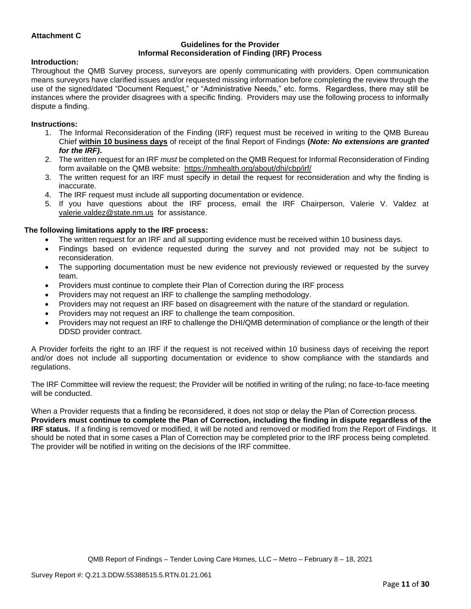## **Attachment C**

#### **Guidelines for the Provider Informal Reconsideration of Finding (IRF) Process**

#### **Introduction:**

Throughout the QMB Survey process, surveyors are openly communicating with providers. Open communication means surveyors have clarified issues and/or requested missing information before completing the review through the use of the signed/dated "Document Request," or "Administrative Needs," etc. forms. Regardless, there may still be instances where the provider disagrees with a specific finding. Providers may use the following process to informally dispute a finding.

#### **Instructions:**

- 1. The Informal Reconsideration of the Finding (IRF) request must be received in writing to the QMB Bureau Chief **within 10 business days** of receipt of the final Report of Findings **(***Note: No extensions are granted for the IRF)***.**
- 2. The written request for an IRF *must* be completed on the QMB Request for Informal Reconsideration of Finding form available on the QMB website: <https://nmhealth.org/about/dhi/cbp/irf/>
- 3. The written request for an IRF must specify in detail the request for reconsideration and why the finding is inaccurate.
- 4. The IRF request must include all supporting documentation or evidence.
- 5. If you have questions about the IRF process, email the IRF Chairperson, Valerie V. Valdez at [valerie.valdez@state.nm.us](mailto:valerie.valdez@state.nm.us) for assistance.

#### **The following limitations apply to the IRF process:**

- The written request for an IRF and all supporting evidence must be received within 10 business days.
- Findings based on evidence requested during the survey and not provided may not be subject to reconsideration.
- The supporting documentation must be new evidence not previously reviewed or requested by the survey team.
- Providers must continue to complete their Plan of Correction during the IRF process
- Providers may not request an IRF to challenge the sampling methodology.
- Providers may not request an IRF based on disagreement with the nature of the standard or regulation.
- Providers may not request an IRF to challenge the team composition.
- Providers may not request an IRF to challenge the DHI/QMB determination of compliance or the length of their DDSD provider contract.

A Provider forfeits the right to an IRF if the request is not received within 10 business days of receiving the report and/or does not include all supporting documentation or evidence to show compliance with the standards and regulations.

The IRF Committee will review the request; the Provider will be notified in writing of the ruling; no face-to-face meeting will be conducted.

When a Provider requests that a finding be reconsidered, it does not stop or delay the Plan of Correction process. **Providers must continue to complete the Plan of Correction, including the finding in dispute regardless of the IRF status.** If a finding is removed or modified, it will be noted and removed or modified from the Report of Findings. It should be noted that in some cases a Plan of Correction may be completed prior to the IRF process being completed. The provider will be notified in writing on the decisions of the IRF committee.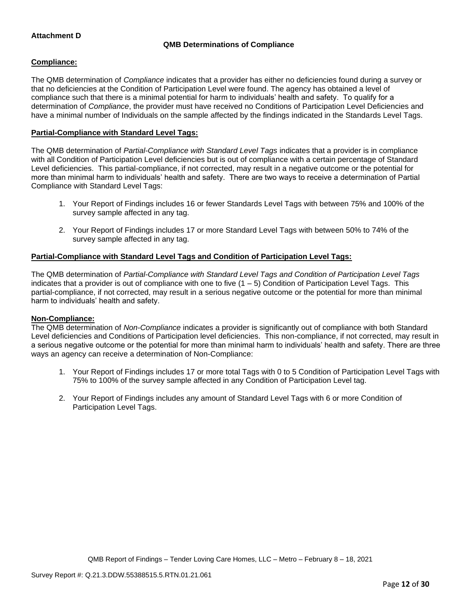## **Attachment D**

# **QMB Determinations of Compliance**

#### **Compliance:**

The QMB determination of *Compliance* indicates that a provider has either no deficiencies found during a survey or that no deficiencies at the Condition of Participation Level were found. The agency has obtained a level of compliance such that there is a minimal potential for harm to individuals' health and safety. To qualify for a determination of *Compliance*, the provider must have received no Conditions of Participation Level Deficiencies and have a minimal number of Individuals on the sample affected by the findings indicated in the Standards Level Tags.

#### **Partial-Compliance with Standard Level Tags:**

The QMB determination of *Partial-Compliance with Standard Level Tags* indicates that a provider is in compliance with all Condition of Participation Level deficiencies but is out of compliance with a certain percentage of Standard Level deficiencies. This partial-compliance, if not corrected, may result in a negative outcome or the potential for more than minimal harm to individuals' health and safety. There are two ways to receive a determination of Partial Compliance with Standard Level Tags:

- 1. Your Report of Findings includes 16 or fewer Standards Level Tags with between 75% and 100% of the survey sample affected in any tag.
- 2. Your Report of Findings includes 17 or more Standard Level Tags with between 50% to 74% of the survey sample affected in any tag.

## **Partial-Compliance with Standard Level Tags and Condition of Participation Level Tags:**

The QMB determination of *Partial-Compliance with Standard Level Tags and Condition of Participation Level Tags*  indicates that a provider is out of compliance with one to five  $(1 - 5)$  Condition of Participation Level Tags. This partial-compliance, if not corrected, may result in a serious negative outcome or the potential for more than minimal harm to individuals' health and safety.

#### **Non-Compliance:**

The QMB determination of *Non-Compliance* indicates a provider is significantly out of compliance with both Standard Level deficiencies and Conditions of Participation level deficiencies. This non-compliance, if not corrected, may result in a serious negative outcome or the potential for more than minimal harm to individuals' health and safety. There are three ways an agency can receive a determination of Non-Compliance:

- 1. Your Report of Findings includes 17 or more total Tags with 0 to 5 Condition of Participation Level Tags with 75% to 100% of the survey sample affected in any Condition of Participation Level tag.
- 2. Your Report of Findings includes any amount of Standard Level Tags with 6 or more Condition of Participation Level Tags.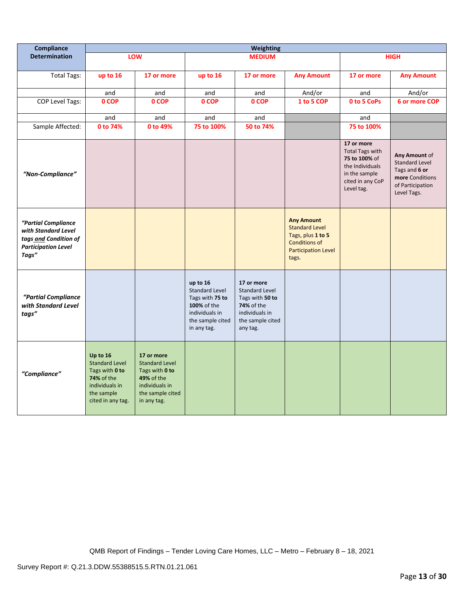| Compliance                                                                                                 | <b>Weighting</b>                                                                                                              |                                                                                                                          |                                                                                                                          |                                                                                                                        |                                                                                                                                |                                                                                                                             |                                                                                                               |
|------------------------------------------------------------------------------------------------------------|-------------------------------------------------------------------------------------------------------------------------------|--------------------------------------------------------------------------------------------------------------------------|--------------------------------------------------------------------------------------------------------------------------|------------------------------------------------------------------------------------------------------------------------|--------------------------------------------------------------------------------------------------------------------------------|-----------------------------------------------------------------------------------------------------------------------------|---------------------------------------------------------------------------------------------------------------|
| <b>Determination</b>                                                                                       |                                                                                                                               | LOW                                                                                                                      |                                                                                                                          | <b>MEDIUM</b>                                                                                                          |                                                                                                                                |                                                                                                                             | <b>HIGH</b>                                                                                                   |
| <b>Total Tags:</b>                                                                                         | up to 16                                                                                                                      | 17 or more                                                                                                               | up to 16                                                                                                                 | 17 or more                                                                                                             | <b>Any Amount</b>                                                                                                              | 17 or more                                                                                                                  | <b>Any Amount</b>                                                                                             |
|                                                                                                            | and                                                                                                                           | and                                                                                                                      | and                                                                                                                      | and                                                                                                                    | And/or                                                                                                                         | and                                                                                                                         | And/or                                                                                                        |
| <b>COP Level Tags:</b>                                                                                     | 0 COP                                                                                                                         | 0 COP                                                                                                                    | 0 COP                                                                                                                    | 0 COP                                                                                                                  | 1 to 5 COP                                                                                                                     | 0 to 5 CoPs                                                                                                                 | 6 or more COP                                                                                                 |
|                                                                                                            | and                                                                                                                           | and                                                                                                                      | and                                                                                                                      | and                                                                                                                    |                                                                                                                                | and                                                                                                                         |                                                                                                               |
| Sample Affected:                                                                                           | 0 to 74%                                                                                                                      | 0 to 49%                                                                                                                 | 75 to 100%                                                                                                               | 50 to 74%                                                                                                              |                                                                                                                                | 75 to 100%                                                                                                                  |                                                                                                               |
| "Non-Compliance"                                                                                           |                                                                                                                               |                                                                                                                          |                                                                                                                          |                                                                                                                        |                                                                                                                                | 17 or more<br><b>Total Tags with</b><br>75 to 100% of<br>the Individuals<br>in the sample<br>cited in any CoP<br>Level tag. | Any Amount of<br><b>Standard Level</b><br>Tags and 6 or<br>more Conditions<br>of Participation<br>Level Tags. |
| "Partial Compliance<br>with Standard Level<br>tags and Condition of<br><b>Participation Level</b><br>Tags" |                                                                                                                               |                                                                                                                          |                                                                                                                          |                                                                                                                        | <b>Any Amount</b><br><b>Standard Level</b><br>Tags, plus 1 to 5<br><b>Conditions of</b><br><b>Participation Level</b><br>tags. |                                                                                                                             |                                                                                                               |
| "Partial Compliance<br>with Standard Level<br>tags"                                                        |                                                                                                                               |                                                                                                                          | up to 16<br><b>Standard Level</b><br>Tags with 75 to<br>100% of the<br>individuals in<br>the sample cited<br>in any tag. | 17 or more<br><b>Standard Level</b><br>Tags with 50 to<br>74% of the<br>individuals in<br>the sample cited<br>any tag. |                                                                                                                                |                                                                                                                             |                                                                                                               |
| "Compliance"                                                                                               | Up to 16<br><b>Standard Level</b><br>Tags with 0 to<br><b>74% of the</b><br>individuals in<br>the sample<br>cited in any tag. | 17 or more<br><b>Standard Level</b><br>Tags with 0 to<br>49% of the<br>individuals in<br>the sample cited<br>in any tag. |                                                                                                                          |                                                                                                                        |                                                                                                                                |                                                                                                                             |                                                                                                               |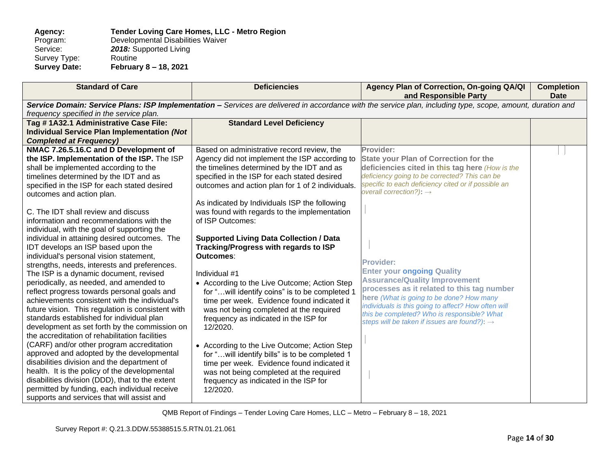#### **Agency: Tender Loving Care Homes, LLC - Metro Region** Program: Developmental Disabilities Waiver<br>Service: 2018: Supported Living 2018: Supported Living<br>Routine Survey Type:<br>Survey Date: **Survey Date: February 8 – 18, 2021**

| <b>Standard of Care</b>                                                                                                                                     | <b>Deficiencies</b>                               | Agency Plan of Correction, On-going QA/QI<br>and Responsible Party                         | <b>Completion</b><br><b>Date</b> |  |
|-------------------------------------------------------------------------------------------------------------------------------------------------------------|---------------------------------------------------|--------------------------------------------------------------------------------------------|----------------------------------|--|
| Service Domain: Service Plans: ISP Implementation - Services are delivered in accordance with the service plan, including type, scope, amount, duration and |                                                   |                                                                                            |                                  |  |
| frequency specified in the service plan.                                                                                                                    |                                                   |                                                                                            |                                  |  |
| Tag # 1A32.1 Administrative Case File:                                                                                                                      | <b>Standard Level Deficiency</b>                  |                                                                                            |                                  |  |
| <b>Individual Service Plan Implementation (Not</b>                                                                                                          |                                                   |                                                                                            |                                  |  |
| <b>Completed at Frequency)</b>                                                                                                                              |                                                   |                                                                                            |                                  |  |
| NMAC 7.26.5.16.C and D Development of                                                                                                                       | Based on administrative record review, the        | Provider:                                                                                  |                                  |  |
| the ISP. Implementation of the ISP. The ISP                                                                                                                 | Agency did not implement the ISP according to     | <b>State your Plan of Correction for the</b>                                               |                                  |  |
| shall be implemented according to the                                                                                                                       | the timelines determined by the IDT and as        | deficiencies cited in this tag here (How is the                                            |                                  |  |
| timelines determined by the IDT and as                                                                                                                      | specified in the ISP for each stated desired      | deficiency going to be corrected? This can be                                              |                                  |  |
| specified in the ISP for each stated desired                                                                                                                | outcomes and action plan for 1 of 2 individuals.  | specific to each deficiency cited or if possible an<br>overall correction?): $\rightarrow$ |                                  |  |
| outcomes and action plan.                                                                                                                                   |                                                   |                                                                                            |                                  |  |
|                                                                                                                                                             | As indicated by Individuals ISP the following     |                                                                                            |                                  |  |
| C. The IDT shall review and discuss                                                                                                                         | was found with regards to the implementation      |                                                                                            |                                  |  |
| information and recommendations with the                                                                                                                    | of ISP Outcomes:                                  |                                                                                            |                                  |  |
| individual, with the goal of supporting the                                                                                                                 |                                                   |                                                                                            |                                  |  |
| individual in attaining desired outcomes. The                                                                                                               | <b>Supported Living Data Collection / Data</b>    |                                                                                            |                                  |  |
| IDT develops an ISP based upon the                                                                                                                          | Tracking/Progress with regards to ISP             |                                                                                            |                                  |  |
| individual's personal vision statement,                                                                                                                     | Outcomes:                                         | <b>Provider:</b>                                                                           |                                  |  |
| strengths, needs, interests and preferences.                                                                                                                |                                                   | <b>Enter your ongoing Quality</b>                                                          |                                  |  |
| The ISP is a dynamic document, revised                                                                                                                      | Individual #1                                     | <b>Assurance/Quality Improvement</b>                                                       |                                  |  |
| periodically, as needed, and amended to                                                                                                                     | • According to the Live Outcome; Action Step      | processes as it related to this tag number                                                 |                                  |  |
| reflect progress towards personal goals and                                                                                                                 | for "will identify coins" is to be completed 1    | here (What is going to be done? How many                                                   |                                  |  |
| achievements consistent with the individual's                                                                                                               | time per week. Evidence found indicated it        | individuals is this going to affect? How often will                                        |                                  |  |
| future vision. This regulation is consistent with                                                                                                           | was not being completed at the required           | this be completed? Who is responsible? What                                                |                                  |  |
| standards established for individual plan                                                                                                                   | frequency as indicated in the ISP for             | steps will be taken if issues are found?): $\rightarrow$                                   |                                  |  |
| development as set forth by the commission on<br>the accreditation of rehabilitation facilities                                                             | 12/2020.                                          |                                                                                            |                                  |  |
|                                                                                                                                                             |                                                   |                                                                                            |                                  |  |
| (CARF) and/or other program accreditation                                                                                                                   | • According to the Live Outcome; Action Step      |                                                                                            |                                  |  |
| approved and adopted by the developmental<br>disabilities division and the department of                                                                    | for "will identify bills" is to be completed 1    |                                                                                            |                                  |  |
| health. It is the policy of the developmental                                                                                                               | time per week. Evidence found indicated it        |                                                                                            |                                  |  |
| disabilities division (DDD), that to the extent                                                                                                             | was not being completed at the required           |                                                                                            |                                  |  |
| permitted by funding, each individual receive                                                                                                               | frequency as indicated in the ISP for<br>12/2020. |                                                                                            |                                  |  |
| supports and services that will assist and                                                                                                                  |                                                   |                                                                                            |                                  |  |
|                                                                                                                                                             |                                                   |                                                                                            |                                  |  |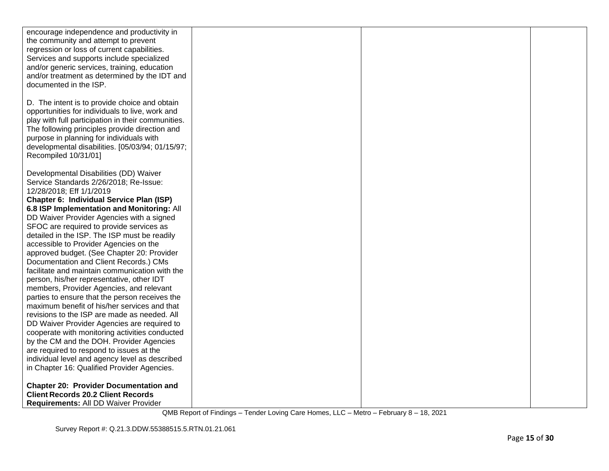| encourage independence and productivity in<br>the community and attempt to prevent<br>regression or loss of current capabilities.<br>Services and supports include specialized                           |  |  |
|----------------------------------------------------------------------------------------------------------------------------------------------------------------------------------------------------------|--|--|
| and/or generic services, training, education<br>and/or treatment as determined by the IDT and<br>documented in the ISP.                                                                                  |  |  |
| D. The intent is to provide choice and obtain<br>opportunities for individuals to live, work and<br>play with full participation in their communities.<br>The following principles provide direction and |  |  |
| purpose in planning for individuals with<br>developmental disabilities. [05/03/94; 01/15/97;<br>Recompiled 10/31/01]                                                                                     |  |  |
| Developmental Disabilities (DD) Waiver<br>Service Standards 2/26/2018; Re-Issue:<br>12/28/2018; Eff 1/1/2019                                                                                             |  |  |
| Chapter 6: Individual Service Plan (ISP)                                                                                                                                                                 |  |  |
| 6.8 ISP Implementation and Monitoring: All<br>DD Waiver Provider Agencies with a signed                                                                                                                  |  |  |
| SFOC are required to provide services as<br>detailed in the ISP. The ISP must be readily                                                                                                                 |  |  |
| accessible to Provider Agencies on the                                                                                                                                                                   |  |  |
| approved budget. (See Chapter 20: Provider<br>Documentation and Client Records.) CMs                                                                                                                     |  |  |
| facilitate and maintain communication with the                                                                                                                                                           |  |  |
| person, his/her representative, other IDT                                                                                                                                                                |  |  |
| members, Provider Agencies, and relevant<br>parties to ensure that the person receives the                                                                                                               |  |  |
| maximum benefit of his/her services and that                                                                                                                                                             |  |  |
| revisions to the ISP are made as needed. All<br>DD Waiver Provider Agencies are required to                                                                                                              |  |  |
| cooperate with monitoring activities conducted                                                                                                                                                           |  |  |
| by the CM and the DOH. Provider Agencies                                                                                                                                                                 |  |  |
| are required to respond to issues at the                                                                                                                                                                 |  |  |
| individual level and agency level as described<br>in Chapter 16: Qualified Provider Agencies.                                                                                                            |  |  |
|                                                                                                                                                                                                          |  |  |
| <b>Chapter 20: Provider Documentation and</b>                                                                                                                                                            |  |  |
| <b>Client Records 20.2 Client Records</b><br>Requirements: All DD Waiver Provider                                                                                                                        |  |  |
|                                                                                                                                                                                                          |  |  |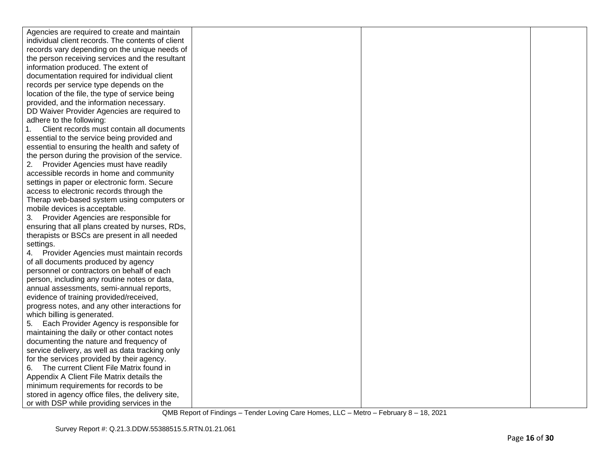| Agencies are required to create and maintain      |  |  |
|---------------------------------------------------|--|--|
| individual client records. The contents of client |  |  |
| records vary depending on the unique needs of     |  |  |
| the person receiving services and the resultant   |  |  |
| information produced. The extent of               |  |  |
| documentation required for individual client      |  |  |
| records per service type depends on the           |  |  |
| location of the file, the type of service being   |  |  |
| provided, and the information necessary.          |  |  |
| DD Waiver Provider Agencies are required to       |  |  |
| adhere to the following:                          |  |  |
| Client records must contain all documents         |  |  |
| essential to the service being provided and       |  |  |
| essential to ensuring the health and safety of    |  |  |
| the person during the provision of the service.   |  |  |
| 2. Provider Agencies must have readily            |  |  |
| accessible records in home and community          |  |  |
| settings in paper or electronic form. Secure      |  |  |
| access to electronic records through the          |  |  |
| Therap web-based system using computers or        |  |  |
| mobile devices is acceptable.                     |  |  |
| 3. Provider Agencies are responsible for          |  |  |
| ensuring that all plans created by nurses, RDs,   |  |  |
| therapists or BSCs are present in all needed      |  |  |
| settings.                                         |  |  |
| 4. Provider Agencies must maintain records        |  |  |
| of all documents produced by agency               |  |  |
| personnel or contractors on behalf of each        |  |  |
| person, including any routine notes or data,      |  |  |
| annual assessments, semi-annual reports,          |  |  |
| evidence of training provided/received,           |  |  |
| progress notes, and any other interactions for    |  |  |
| which billing is generated.                       |  |  |
| Each Provider Agency is responsible for<br>5.     |  |  |
| maintaining the daily or other contact notes      |  |  |
| documenting the nature and frequency of           |  |  |
| service delivery, as well as data tracking only   |  |  |
| for the services provided by their agency.        |  |  |
| The current Client File Matrix found in<br>6.     |  |  |
| Appendix A Client File Matrix details the         |  |  |
| minimum requirements for records to be            |  |  |
| stored in agency office files, the delivery site, |  |  |
| or with DSP while providing services in the       |  |  |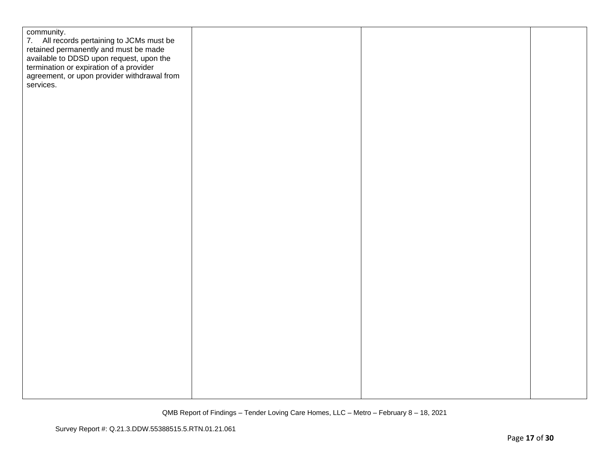| community.<br>7. All records pertaining to JCMs must be<br>retained permanently and must be made<br>available to DDSD upon request, upon the<br>termination or expiration of a provider<br>agreement, or upon provider withdrawal from |  |  |
|----------------------------------------------------------------------------------------------------------------------------------------------------------------------------------------------------------------------------------------|--|--|
| services.                                                                                                                                                                                                                              |  |  |
|                                                                                                                                                                                                                                        |  |  |
|                                                                                                                                                                                                                                        |  |  |
|                                                                                                                                                                                                                                        |  |  |
|                                                                                                                                                                                                                                        |  |  |
|                                                                                                                                                                                                                                        |  |  |
|                                                                                                                                                                                                                                        |  |  |
|                                                                                                                                                                                                                                        |  |  |
|                                                                                                                                                                                                                                        |  |  |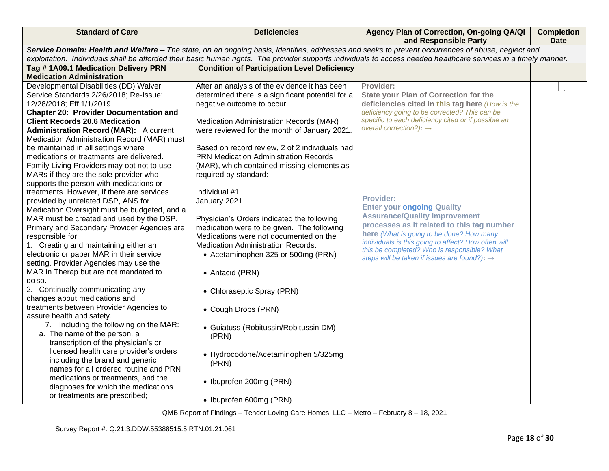| <b>Standard of Care</b>                                                                                                                                                                                                                                                                                               | <b>Deficiencies</b>                                                                     | Agency Plan of Correction, On-going QA/QI<br>and Responsible Party                                      | <b>Completion</b><br><b>Date</b> |  |
|-----------------------------------------------------------------------------------------------------------------------------------------------------------------------------------------------------------------------------------------------------------------------------------------------------------------------|-----------------------------------------------------------------------------------------|---------------------------------------------------------------------------------------------------------|----------------------------------|--|
| Service Domain: Health and Welfare - The state, on an ongoing basis, identifies, addresses and seeks to prevent occurrences of abuse, neglect and<br>exploitation. Individuals shall be afforded their basic human rights. The provider supports individuals to access needed healthcare services in a timely manner. |                                                                                         |                                                                                                         |                                  |  |
| Tag #1A09.1 Medication Delivery PRN                                                                                                                                                                                                                                                                                   | <b>Condition of Participation Level Deficiency</b>                                      |                                                                                                         |                                  |  |
| <b>Medication Administration</b>                                                                                                                                                                                                                                                                                      |                                                                                         |                                                                                                         |                                  |  |
| Developmental Disabilities (DD) Waiver                                                                                                                                                                                                                                                                                | After an analysis of the evidence it has been                                           | Provider:                                                                                               |                                  |  |
| Service Standards 2/26/2018; Re-Issue:                                                                                                                                                                                                                                                                                | determined there is a significant potential for a                                       | <b>State your Plan of Correction for the</b>                                                            |                                  |  |
| 12/28/2018; Eff 1/1/2019                                                                                                                                                                                                                                                                                              | negative outcome to occur.                                                              | deficiencies cited in this tag here (How is the                                                         |                                  |  |
| <b>Chapter 20: Provider Documentation and</b>                                                                                                                                                                                                                                                                         |                                                                                         | deficiency going to be corrected? This can be<br>specific to each deficiency cited or if possible an    |                                  |  |
| <b>Client Records 20.6 Medication</b>                                                                                                                                                                                                                                                                                 | Medication Administration Records (MAR)<br>were reviewed for the month of January 2021. | overall correction?): $\rightarrow$                                                                     |                                  |  |
| <b>Administration Record (MAR):</b> A current<br>Medication Administration Record (MAR) must                                                                                                                                                                                                                          |                                                                                         |                                                                                                         |                                  |  |
| be maintained in all settings where                                                                                                                                                                                                                                                                                   | Based on record review, 2 of 2 individuals had                                          |                                                                                                         |                                  |  |
| medications or treatments are delivered.                                                                                                                                                                                                                                                                              | <b>PRN Medication Administration Records</b>                                            |                                                                                                         |                                  |  |
| Family Living Providers may opt not to use                                                                                                                                                                                                                                                                            | (MAR), which contained missing elements as                                              |                                                                                                         |                                  |  |
| MARs if they are the sole provider who                                                                                                                                                                                                                                                                                | required by standard:                                                                   |                                                                                                         |                                  |  |
| supports the person with medications or                                                                                                                                                                                                                                                                               |                                                                                         |                                                                                                         |                                  |  |
| treatments. However, if there are services                                                                                                                                                                                                                                                                            | Individual #1                                                                           | <b>Provider:</b>                                                                                        |                                  |  |
| provided by unrelated DSP, ANS for                                                                                                                                                                                                                                                                                    | January 2021                                                                            | <b>Enter your ongoing Quality</b>                                                                       |                                  |  |
| Medication Oversight must be budgeted, and a<br>MAR must be created and used by the DSP.                                                                                                                                                                                                                              | Physician's Orders indicated the following                                              | <b>Assurance/Quality Improvement</b>                                                                    |                                  |  |
| Primary and Secondary Provider Agencies are                                                                                                                                                                                                                                                                           | medication were to be given. The following                                              | processes as it related to this tag number                                                              |                                  |  |
| responsible for:                                                                                                                                                                                                                                                                                                      | Medications were not documented on the                                                  | here (What is going to be done? How many                                                                |                                  |  |
| 1. Creating and maintaining either an                                                                                                                                                                                                                                                                                 | <b>Medication Administration Records:</b>                                               | individuals is this going to affect? How often will                                                     |                                  |  |
| electronic or paper MAR in their service                                                                                                                                                                                                                                                                              | • Acetaminophen 325 or 500mg (PRN)                                                      | this be completed? Who is responsible? What<br>steps will be taken if issues are found?): $\rightarrow$ |                                  |  |
| setting. Provider Agencies may use the                                                                                                                                                                                                                                                                                |                                                                                         |                                                                                                         |                                  |  |
| MAR in Therap but are not mandated to                                                                                                                                                                                                                                                                                 | • Antacid (PRN)                                                                         |                                                                                                         |                                  |  |
| do so.                                                                                                                                                                                                                                                                                                                |                                                                                         |                                                                                                         |                                  |  |
| 2. Continually communicating any<br>changes about medications and                                                                                                                                                                                                                                                     | • Chloraseptic Spray (PRN)                                                              |                                                                                                         |                                  |  |
| treatments between Provider Agencies to                                                                                                                                                                                                                                                                               | • Cough Drops (PRN)                                                                     |                                                                                                         |                                  |  |
| assure health and safety.                                                                                                                                                                                                                                                                                             |                                                                                         |                                                                                                         |                                  |  |
| 7. Including the following on the MAR:                                                                                                                                                                                                                                                                                | • Guiatuss (Robitussin/Robitussin DM)                                                   |                                                                                                         |                                  |  |
| a. The name of the person, a                                                                                                                                                                                                                                                                                          | (PRN)                                                                                   |                                                                                                         |                                  |  |
| transcription of the physician's or                                                                                                                                                                                                                                                                                   |                                                                                         |                                                                                                         |                                  |  |
| licensed health care provider's orders                                                                                                                                                                                                                                                                                | • Hydrocodone/Acetaminophen 5/325mg                                                     |                                                                                                         |                                  |  |
| including the brand and generic<br>names for all ordered routine and PRN                                                                                                                                                                                                                                              | (PRN)                                                                                   |                                                                                                         |                                  |  |
| medications or treatments, and the                                                                                                                                                                                                                                                                                    |                                                                                         |                                                                                                         |                                  |  |
| diagnoses for which the medications                                                                                                                                                                                                                                                                                   | • Ibuprofen 200mg (PRN)                                                                 |                                                                                                         |                                  |  |
| or treatments are prescribed;                                                                                                                                                                                                                                                                                         |                                                                                         |                                                                                                         |                                  |  |
|                                                                                                                                                                                                                                                                                                                       | • Ibuprofen 600mg (PRN)                                                                 |                                                                                                         |                                  |  |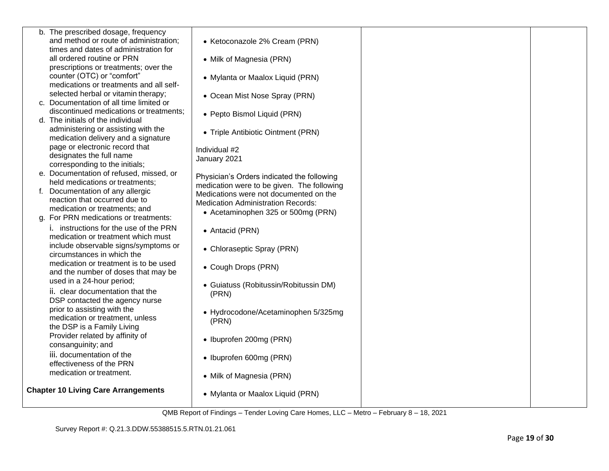| b. The prescribed dosage, frequency<br>and method or route of administration;<br>times and dates of administration for | • Ketoconazole 2% Cream (PRN)                                                            |  |
|------------------------------------------------------------------------------------------------------------------------|------------------------------------------------------------------------------------------|--|
| all ordered routine or PRN<br>prescriptions or treatments; over the                                                    | • Milk of Magnesia (PRN)                                                                 |  |
| counter (OTC) or "comfort"<br>medications or treatments and all self-                                                  | • Mylanta or Maalox Liquid (PRN)                                                         |  |
| selected herbal or vitamin therapy;<br>c. Documentation of all time limited or                                         | • Ocean Mist Nose Spray (PRN)                                                            |  |
| discontinued medications or treatments;<br>d. The initials of the individual                                           | • Pepto Bismol Liquid (PRN)                                                              |  |
| administering or assisting with the<br>medication delivery and a signature                                             | • Triple Antibiotic Ointment (PRN)                                                       |  |
| page or electronic record that<br>designates the full name<br>corresponding to the initials;                           | Individual #2<br>January 2021                                                            |  |
| e. Documentation of refused, missed, or<br>held medications or treatments;                                             | Physician's Orders indicated the following<br>medication were to be given. The following |  |
| f. Documentation of any allergic<br>reaction that occurred due to<br>medication or treatments; and                     | Medications were not documented on the<br><b>Medication Administration Records:</b>      |  |
| g. For PRN medications or treatments:<br>i. instructions for the use of the PRN                                        | • Acetaminophen 325 or 500mg (PRN)                                                       |  |
| medication or treatment which must                                                                                     | • Antacid (PRN)                                                                          |  |
| include observable signs/symptoms or<br>circumstances in which the                                                     | • Chloraseptic Spray (PRN)                                                               |  |
| medication or treatment is to be used<br>and the number of doses that may be                                           | • Cough Drops (PRN)                                                                      |  |
| used in a 24-hour period;<br>ii. clear documentation that the<br>DSP contacted the agency nurse                        | • Guiatuss (Robitussin/Robitussin DM)<br>(PRN)                                           |  |
| prior to assisting with the<br>medication or treatment, unless<br>the DSP is a Family Living                           | • Hydrocodone/Acetaminophen 5/325mg<br>(PRN)                                             |  |
| Provider related by affinity of<br>consanguinity; and                                                                  | • Ibuprofen 200mg (PRN)                                                                  |  |
| iii. documentation of the<br>effectiveness of the PRN                                                                  | • Ibuprofen 600mg (PRN)                                                                  |  |
| medication or treatment.                                                                                               | • Milk of Magnesia (PRN)                                                                 |  |
| <b>Chapter 10 Living Care Arrangements</b>                                                                             | • Mylanta or Maalox Liquid (PRN)                                                         |  |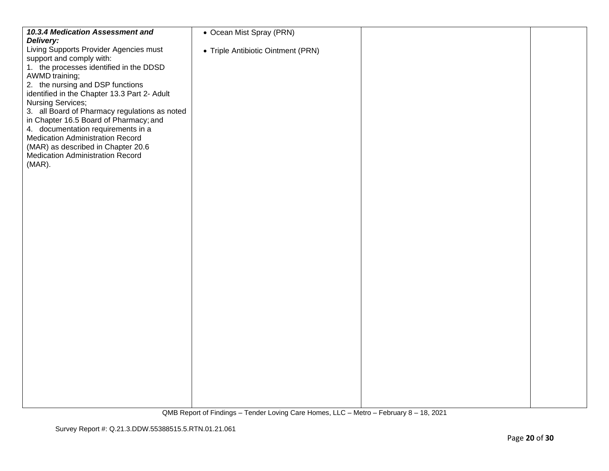| 10.3.4 Medication Assessment and                                              | • Ocean Mist Spray (PRN)           |  |
|-------------------------------------------------------------------------------|------------------------------------|--|
| Delivery:<br>Living Supports Provider Agencies must                           | • Triple Antibiotic Ointment (PRN) |  |
| support and comply with:                                                      |                                    |  |
| 1. the processes identified in the DDSD<br>AWMD training;                     |                                    |  |
| 2. the nursing and DSP functions                                              |                                    |  |
| identified in the Chapter 13.3 Part 2- Adult                                  |                                    |  |
| <b>Nursing Services;</b><br>3. all Board of Pharmacy regulations as noted     |                                    |  |
| in Chapter 16.5 Board of Pharmacy; and                                        |                                    |  |
| 4. documentation requirements in a                                            |                                    |  |
| <b>Medication Administration Record</b><br>(MAR) as described in Chapter 20.6 |                                    |  |
| <b>Medication Administration Record</b>                                       |                                    |  |
| $(MAR)$ .                                                                     |                                    |  |
|                                                                               |                                    |  |
|                                                                               |                                    |  |
|                                                                               |                                    |  |
|                                                                               |                                    |  |
|                                                                               |                                    |  |
|                                                                               |                                    |  |
|                                                                               |                                    |  |
|                                                                               |                                    |  |
|                                                                               |                                    |  |
|                                                                               |                                    |  |
|                                                                               |                                    |  |
|                                                                               |                                    |  |
|                                                                               |                                    |  |
|                                                                               |                                    |  |
|                                                                               |                                    |  |
|                                                                               |                                    |  |
|                                                                               |                                    |  |
|                                                                               |                                    |  |
|                                                                               |                                    |  |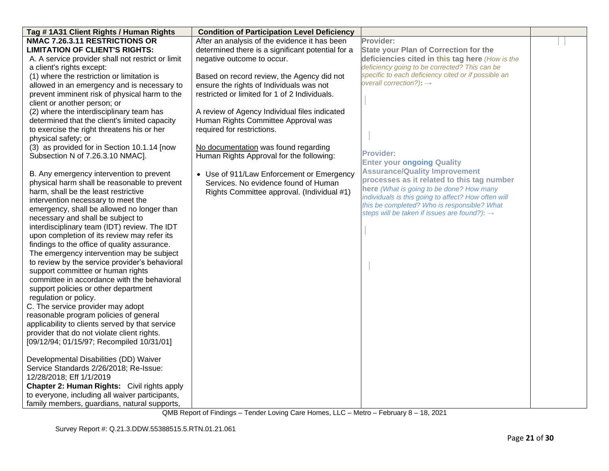| Tag # 1A31 Client Rights / Human Rights           | <b>Condition of Participation Level Deficiency</b> |                                                          |  |
|---------------------------------------------------|----------------------------------------------------|----------------------------------------------------------|--|
| NMAC 7.26.3.11 RESTRICTIONS OR                    | After an analysis of the evidence it has been      | Provider:                                                |  |
| <b>LIMITATION OF CLIENT'S RIGHTS:</b>             | determined there is a significant potential for a  | <b>State your Plan of Correction for the</b>             |  |
| A. A service provider shall not restrict or limit | negative outcome to occur.                         | deficiencies cited in this tag here (How is the          |  |
| a client's rights except:                         |                                                    | deficiency going to be corrected? This can be            |  |
| (1) where the restriction or limitation is        | Based on record review, the Agency did not         | specific to each deficiency cited or if possible an      |  |
| allowed in an emergency and is necessary to       | ensure the rights of Individuals was not           | overall correction?): $\rightarrow$                      |  |
| prevent imminent risk of physical harm to the     | restricted or limited for 1 of 2 Individuals.      |                                                          |  |
| client or another person; or                      |                                                    |                                                          |  |
| (2) where the interdisciplinary team has          | A review of Agency Individual files indicated      |                                                          |  |
| determined that the client's limited capacity     | Human Rights Committee Approval was                |                                                          |  |
| to exercise the right threatens his or her        | required for restrictions.                         |                                                          |  |
| physical safety; or                               |                                                    |                                                          |  |
| (3) as provided for in Section 10.1.14 [now       | No documentation was found regarding               |                                                          |  |
| Subsection N of 7.26.3.10 NMAC].                  | Human Rights Approval for the following:           | <b>Provider:</b>                                         |  |
|                                                   |                                                    | <b>Enter your ongoing Quality</b>                        |  |
| B. Any emergency intervention to prevent          | • Use of 911/Law Enforcement or Emergency          | <b>Assurance/Quality Improvement</b>                     |  |
| physical harm shall be reasonable to prevent      | Services. No evidence found of Human               | processes as it related to this tag number               |  |
| harm, shall be the least restrictive              | Rights Committee approval. (Individual #1)         | here (What is going to be done? How many                 |  |
| intervention necessary to meet the                |                                                    | individuals is this going to affect? How often will      |  |
| emergency, shall be allowed no longer than        |                                                    | this be completed? Who is responsible? What              |  |
| necessary and shall be subject to                 |                                                    | steps will be taken if issues are found?): $\rightarrow$ |  |
| interdisciplinary team (IDT) review. The IDT      |                                                    |                                                          |  |
| upon completion of its review may refer its       |                                                    |                                                          |  |
| findings to the office of quality assurance.      |                                                    |                                                          |  |
| The emergency intervention may be subject         |                                                    |                                                          |  |
| to review by the service provider's behavioral    |                                                    |                                                          |  |
| support committee or human rights                 |                                                    |                                                          |  |
| committee in accordance with the behavioral       |                                                    |                                                          |  |
| support policies or other department              |                                                    |                                                          |  |
| regulation or policy.                             |                                                    |                                                          |  |
| C. The service provider may adopt                 |                                                    |                                                          |  |
| reasonable program policies of general            |                                                    |                                                          |  |
| applicability to clients served by that service   |                                                    |                                                          |  |
| provider that do not violate client rights.       |                                                    |                                                          |  |
| [09/12/94; 01/15/97; Recompiled 10/31/01]         |                                                    |                                                          |  |
|                                                   |                                                    |                                                          |  |
| Developmental Disabilities (DD) Waiver            |                                                    |                                                          |  |
| Service Standards 2/26/2018; Re-Issue:            |                                                    |                                                          |  |
| 12/28/2018; Eff 1/1/2019                          |                                                    |                                                          |  |
| Chapter 2: Human Rights: Civil rights apply       |                                                    |                                                          |  |
| to everyone, including all waiver participants,   |                                                    |                                                          |  |
| family members, guardians, natural supports,      |                                                    |                                                          |  |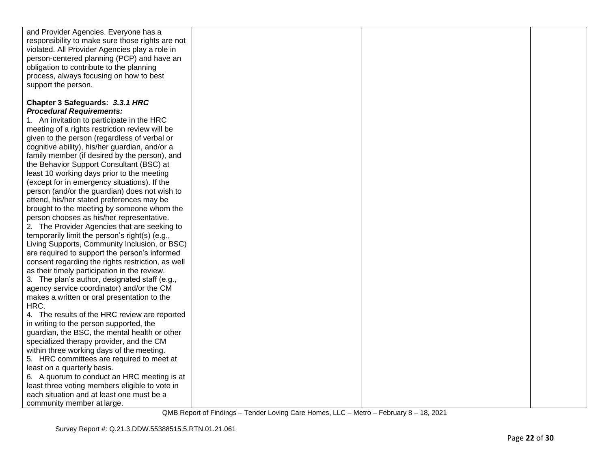| and Provider Agencies. Everyone has a                                                     |  |  |
|-------------------------------------------------------------------------------------------|--|--|
| responsibility to make sure those rights are not                                          |  |  |
| violated. All Provider Agencies play a role in                                            |  |  |
| person-centered planning (PCP) and have an                                                |  |  |
| obligation to contribute to the planning                                                  |  |  |
| process, always focusing on how to best                                                   |  |  |
| support the person.                                                                       |  |  |
|                                                                                           |  |  |
| Chapter 3 Safeguards: 3.3.1 HRC                                                           |  |  |
| <b>Procedural Requirements:</b>                                                           |  |  |
| 1. An invitation to participate in the HRC                                                |  |  |
| meeting of a rights restriction review will be                                            |  |  |
| given to the person (regardless of verbal or                                              |  |  |
| cognitive ability), his/her guardian, and/or a                                            |  |  |
| family member (if desired by the person), and                                             |  |  |
| the Behavior Support Consultant (BSC) at                                                  |  |  |
| least 10 working days prior to the meeting                                                |  |  |
| (except for in emergency situations). If the                                              |  |  |
| person (and/or the guardian) does not wish to                                             |  |  |
| attend, his/her stated preferences may be                                                 |  |  |
| brought to the meeting by someone whom the                                                |  |  |
| person chooses as his/her representative.                                                 |  |  |
| 2. The Provider Agencies that are seeking to                                              |  |  |
| temporarily limit the person's right(s) (e.g.,                                            |  |  |
| Living Supports, Community Inclusion, or BSC)                                             |  |  |
| are required to support the person's informed                                             |  |  |
| consent regarding the rights restriction, as well                                         |  |  |
| as their timely participation in the review.                                              |  |  |
| 3. The plan's author, designated staff (e.g.,                                             |  |  |
| agency service coordinator) and/or the CM                                                 |  |  |
| makes a written or oral presentation to the                                               |  |  |
| HRC.                                                                                      |  |  |
| 4. The results of the HRC review are reported                                             |  |  |
| in writing to the person supported, the                                                   |  |  |
| guardian, the BSC, the mental health or other<br>specialized therapy provider, and the CM |  |  |
| within three working days of the meeting.                                                 |  |  |
| 5. HRC committees are required to meet at                                                 |  |  |
| least on a quarterly basis.                                                               |  |  |
| 6. A quorum to conduct an HRC meeting is at                                               |  |  |
| least three voting members eligible to vote in                                            |  |  |
| each situation and at least one must be a                                                 |  |  |
| community member at large.                                                                |  |  |
|                                                                                           |  |  |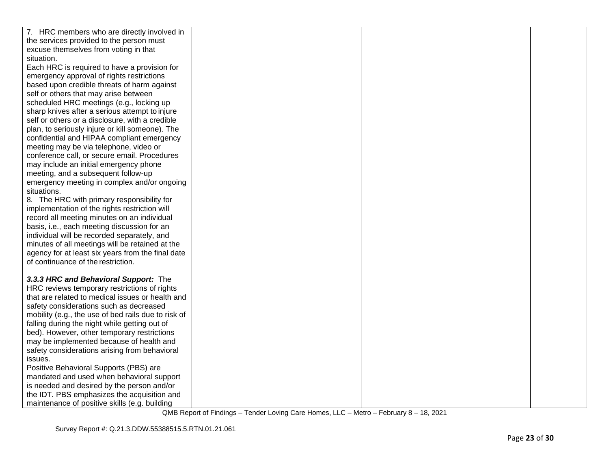| 7. HRC members who are directly involved in         |  |  |
|-----------------------------------------------------|--|--|
| the services provided to the person must            |  |  |
| excuse themselves from voting in that               |  |  |
| situation.                                          |  |  |
| Each HRC is required to have a provision for        |  |  |
| emergency approval of rights restrictions           |  |  |
| based upon credible threats of harm against         |  |  |
| self or others that may arise between               |  |  |
| scheduled HRC meetings (e.g., locking up            |  |  |
| sharp knives after a serious attempt to injure      |  |  |
| self or others or a disclosure, with a credible     |  |  |
| plan, to seriously injure or kill someone). The     |  |  |
| confidential and HIPAA compliant emergency          |  |  |
| meeting may be via telephone, video or              |  |  |
| conference call, or secure email. Procedures        |  |  |
| may include an initial emergency phone              |  |  |
| meeting, and a subsequent follow-up                 |  |  |
| emergency meeting in complex and/or ongoing         |  |  |
| situations.                                         |  |  |
| 8. The HRC with primary responsibility for          |  |  |
| implementation of the rights restriction will       |  |  |
| record all meeting minutes on an individual         |  |  |
| basis, i.e., each meeting discussion for an         |  |  |
| individual will be recorded separately, and         |  |  |
| minutes of all meetings will be retained at the     |  |  |
| agency for at least six years from the final date   |  |  |
| of continuance of the restriction.                  |  |  |
|                                                     |  |  |
| 3.3.3 HRC and Behavioral Support: The               |  |  |
| HRC reviews temporary restrictions of rights        |  |  |
| that are related to medical issues or health and    |  |  |
| safety considerations such as decreased             |  |  |
| mobility (e.g., the use of bed rails due to risk of |  |  |
| falling during the night while getting out of       |  |  |
| bed). However, other temporary restrictions         |  |  |
| may be implemented because of health and            |  |  |
| safety considerations arising from behavioral       |  |  |
| issues.                                             |  |  |
| Positive Behavioral Supports (PBS) are              |  |  |
| mandated and used when behavioral support           |  |  |
| is needed and desired by the person and/or          |  |  |
| the IDT. PBS emphasizes the acquisition and         |  |  |
| maintenance of positive skills (e.g. building       |  |  |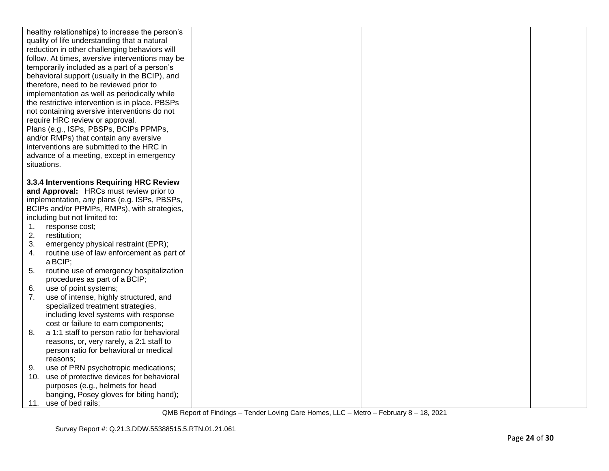|     | healthy relationships) to increase the person's                                   |  |  |
|-----|-----------------------------------------------------------------------------------|--|--|
|     | quality of life understanding that a natural                                      |  |  |
|     | reduction in other challenging behaviors will                                     |  |  |
|     | follow. At times, aversive interventions may be                                   |  |  |
|     | temporarily included as a part of a person's                                      |  |  |
|     | behavioral support (usually in the BCIP), and                                     |  |  |
|     | therefore, need to be reviewed prior to                                           |  |  |
|     | implementation as well as periodically while                                      |  |  |
|     | the restrictive intervention is in place. PBSPs                                   |  |  |
|     | not containing aversive interventions do not                                      |  |  |
|     | require HRC review or approval.                                                   |  |  |
|     | Plans (e.g., ISPs, PBSPs, BCIPs PPMPs,                                            |  |  |
|     | and/or RMPs) that contain any aversive                                            |  |  |
|     | interventions are submitted to the HRC in                                         |  |  |
|     | advance of a meeting, except in emergency                                         |  |  |
|     | situations.                                                                       |  |  |
|     |                                                                                   |  |  |
|     | 3.3.4 Interventions Requiring HRC Review                                          |  |  |
|     | and Approval: HRCs must review prior to                                           |  |  |
|     | implementation, any plans (e.g. ISPs, PBSPs,                                      |  |  |
|     | BCIPs and/or PPMPs, RMPs), with strategies,                                       |  |  |
|     | including but not limited to:                                                     |  |  |
| 1.  | response cost;                                                                    |  |  |
| 2.  | restitution;                                                                      |  |  |
| 3.  | emergency physical restraint (EPR);                                               |  |  |
| 4.  | routine use of law enforcement as part of                                         |  |  |
|     | a BCIP;                                                                           |  |  |
| 5.  | routine use of emergency hospitalization                                          |  |  |
|     | procedures as part of a BCIP;                                                     |  |  |
| 6.  | use of point systems;                                                             |  |  |
| 7.  | use of intense, highly structured, and                                            |  |  |
|     | specialized treatment strategies,                                                 |  |  |
|     | including level systems with response                                             |  |  |
| 8.  | cost or failure to earn components;<br>a 1:1 staff to person ratio for behavioral |  |  |
|     | reasons, or, very rarely, a 2:1 staff to                                          |  |  |
|     | person ratio for behavioral or medical                                            |  |  |
|     | reasons:                                                                          |  |  |
| 9.  | use of PRN psychotropic medications;                                              |  |  |
| 10. | use of protective devices for behavioral                                          |  |  |
|     | purposes (e.g., helmets for head                                                  |  |  |
|     | banging, Posey gloves for biting hand);                                           |  |  |
|     |                                                                                   |  |  |
|     | 11. use of bed rails;                                                             |  |  |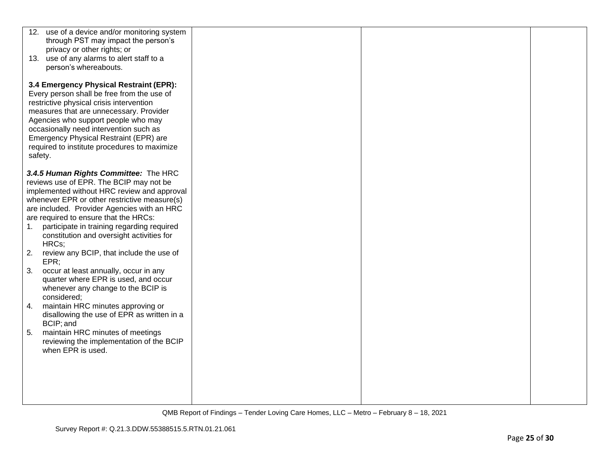| 12. use of a device and/or monitoring system<br>through PST may impact the person's<br>privacy or other rights; or<br>13. use of any alarms to alert staff to a<br>person's whereabouts.                                                                                                                                                                                          |  |  |
|-----------------------------------------------------------------------------------------------------------------------------------------------------------------------------------------------------------------------------------------------------------------------------------------------------------------------------------------------------------------------------------|--|--|
| 3.4 Emergency Physical Restraint (EPR):<br>Every person shall be free from the use of<br>restrictive physical crisis intervention<br>measures that are unnecessary. Provider<br>Agencies who support people who may<br>occasionally need intervention such as<br>Emergency Physical Restraint (EPR) are<br>required to institute procedures to maximize<br>safety.                |  |  |
| 3.4.5 Human Rights Committee: The HRC<br>reviews use of EPR. The BCIP may not be<br>implemented without HRC review and approval<br>whenever EPR or other restrictive measure(s)<br>are included. Provider Agencies with an HRC<br>are required to ensure that the HRCs:<br>participate in training regarding required<br>1.<br>constitution and oversight activities for<br>HRCs; |  |  |
| review any BCIP, that include the use of<br>2.<br>EPR<br>occur at least annually, occur in any<br>3.<br>quarter where EPR is used, and occur<br>whenever any change to the BCIP is<br>considered;<br>maintain HRC minutes approving or<br>4.                                                                                                                                      |  |  |
| disallowing the use of EPR as written in a<br>BCIP; and                                                                                                                                                                                                                                                                                                                           |  |  |
| maintain HRC minutes of meetings<br>5.<br>reviewing the implementation of the BCIP<br>when EPR is used.                                                                                                                                                                                                                                                                           |  |  |
|                                                                                                                                                                                                                                                                                                                                                                                   |  |  |
|                                                                                                                                                                                                                                                                                                                                                                                   |  |  |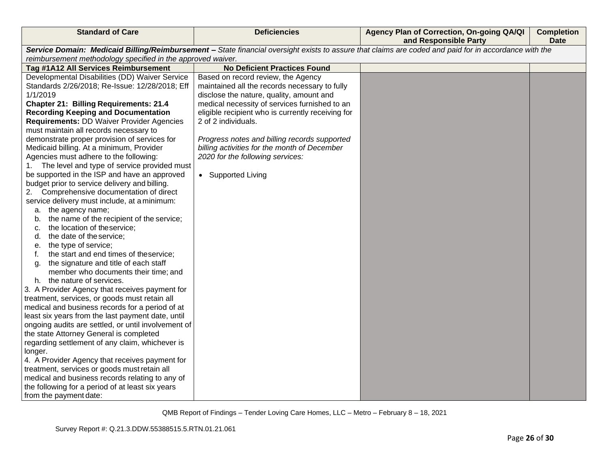| <b>Standard of Care</b>                                     | <b>Deficiencies</b>                               | Agency Plan of Correction, On-going QA/QI<br>and Responsible Party                                                                                    | <b>Completion</b><br><b>Date</b> |
|-------------------------------------------------------------|---------------------------------------------------|-------------------------------------------------------------------------------------------------------------------------------------------------------|----------------------------------|
|                                                             |                                                   | Service Domain: Medicaid Billing/Reimbursement - State financial oversight exists to assure that claims are coded and paid for in accordance with the |                                  |
| reimbursement methodology specified in the approved waiver. |                                                   |                                                                                                                                                       |                                  |
| Tag #1A12 All Services Reimbursement                        | <b>No Deficient Practices Found</b>               |                                                                                                                                                       |                                  |
| Developmental Disabilities (DD) Waiver Service              | Based on record review, the Agency                |                                                                                                                                                       |                                  |
| Standards 2/26/2018; Re-Issue: 12/28/2018; Eff              | maintained all the records necessary to fully     |                                                                                                                                                       |                                  |
| 1/1/2019                                                    | disclose the nature, quality, amount and          |                                                                                                                                                       |                                  |
| <b>Chapter 21: Billing Requirements: 21.4</b>               | medical necessity of services furnished to an     |                                                                                                                                                       |                                  |
| <b>Recording Keeping and Documentation</b>                  | eligible recipient who is currently receiving for |                                                                                                                                                       |                                  |
| <b>Requirements: DD Waiver Provider Agencies</b>            | 2 of 2 individuals.                               |                                                                                                                                                       |                                  |
| must maintain all records necessary to                      |                                                   |                                                                                                                                                       |                                  |
| demonstrate proper provision of services for                | Progress notes and billing records supported      |                                                                                                                                                       |                                  |
| Medicaid billing. At a minimum, Provider                    | billing activities for the month of December      |                                                                                                                                                       |                                  |
| Agencies must adhere to the following:                      | 2020 for the following services:                  |                                                                                                                                                       |                                  |
| The level and type of service provided must<br>1.           |                                                   |                                                                                                                                                       |                                  |
| be supported in the ISP and have an approved                | • Supported Living                                |                                                                                                                                                       |                                  |
| budget prior to service delivery and billing.               |                                                   |                                                                                                                                                       |                                  |
| 2. Comprehensive documentation of direct                    |                                                   |                                                                                                                                                       |                                  |
| service delivery must include, at a minimum:                |                                                   |                                                                                                                                                       |                                  |
| a. the agency name;                                         |                                                   |                                                                                                                                                       |                                  |
| the name of the recipient of the service;<br>b.             |                                                   |                                                                                                                                                       |                                  |
| the location of theservice;<br>c.                           |                                                   |                                                                                                                                                       |                                  |
| the date of the service;<br>d.                              |                                                   |                                                                                                                                                       |                                  |
| the type of service;<br>е.                                  |                                                   |                                                                                                                                                       |                                  |
| the start and end times of theservice;                      |                                                   |                                                                                                                                                       |                                  |
| the signature and title of each staff<br>a.                 |                                                   |                                                                                                                                                       |                                  |
| member who documents their time; and                        |                                                   |                                                                                                                                                       |                                  |
| h. the nature of services.                                  |                                                   |                                                                                                                                                       |                                  |
| 3. A Provider Agency that receives payment for              |                                                   |                                                                                                                                                       |                                  |
| treatment, services, or goods must retain all               |                                                   |                                                                                                                                                       |                                  |
| medical and business records for a period of at             |                                                   |                                                                                                                                                       |                                  |
| least six years from the last payment date, until           |                                                   |                                                                                                                                                       |                                  |
| ongoing audits are settled, or until involvement of         |                                                   |                                                                                                                                                       |                                  |
| the state Attorney General is completed                     |                                                   |                                                                                                                                                       |                                  |
| regarding settlement of any claim, whichever is             |                                                   |                                                                                                                                                       |                                  |
| longer.                                                     |                                                   |                                                                                                                                                       |                                  |
| 4. A Provider Agency that receives payment for              |                                                   |                                                                                                                                                       |                                  |
| treatment, services or goods must retain all                |                                                   |                                                                                                                                                       |                                  |
| medical and business records relating to any of             |                                                   |                                                                                                                                                       |                                  |
| the following for a period of at least six years            |                                                   |                                                                                                                                                       |                                  |
| from the payment date:                                      |                                                   |                                                                                                                                                       |                                  |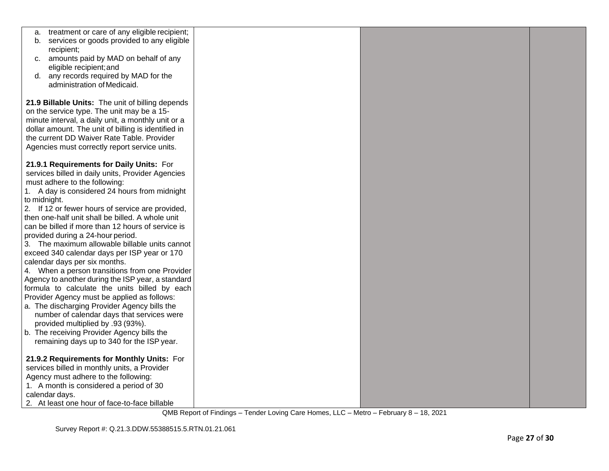| treatment or care of any eligible recipient;<br>а.  |  |  |
|-----------------------------------------------------|--|--|
| services or goods provided to any eligible<br>b.    |  |  |
| recipient;                                          |  |  |
| c. amounts paid by MAD on behalf of any             |  |  |
| eligible recipient; and                             |  |  |
| d. any records required by MAD for the              |  |  |
| administration of Medicaid.                         |  |  |
|                                                     |  |  |
| 21.9 Billable Units: The unit of billing depends    |  |  |
| on the service type. The unit may be a 15-          |  |  |
| minute interval, a daily unit, a monthly unit or a  |  |  |
| dollar amount. The unit of billing is identified in |  |  |
| the current DD Waiver Rate Table. Provider          |  |  |
| Agencies must correctly report service units.       |  |  |
|                                                     |  |  |
| 21.9.1 Requirements for Daily Units: For            |  |  |
| services billed in daily units, Provider Agencies   |  |  |
| must adhere to the following:                       |  |  |
| 1. A day is considered 24 hours from midnight       |  |  |
| to midnight.                                        |  |  |
| 2. If 12 or fewer hours of service are provided,    |  |  |
| then one-half unit shall be billed. A whole unit    |  |  |
| can be billed if more than 12 hours of service is   |  |  |
| provided during a 24-hour period.                   |  |  |
| 3. The maximum allowable billable units cannot      |  |  |
| exceed 340 calendar days per ISP year or 170        |  |  |
| calendar days per six months.                       |  |  |
| 4. When a person transitions from one Provider      |  |  |
| Agency to another during the ISP year, a standard   |  |  |
| formula to calculate the units billed by each       |  |  |
| Provider Agency must be applied as follows:         |  |  |
| a. The discharging Provider Agency bills the        |  |  |
| number of calendar days that services were          |  |  |
| provided multiplied by .93 (93%).                   |  |  |
| b. The receiving Provider Agency bills the          |  |  |
| remaining days up to 340 for the ISP year.          |  |  |
|                                                     |  |  |
| 21.9.2 Requirements for Monthly Units: For          |  |  |
| services billed in monthly units, a Provider        |  |  |
| Agency must adhere to the following:                |  |  |
| 1. A month is considered a period of 30             |  |  |
| calendar days.                                      |  |  |
| 2. At least one hour of face-to-face billable       |  |  |
|                                                     |  |  |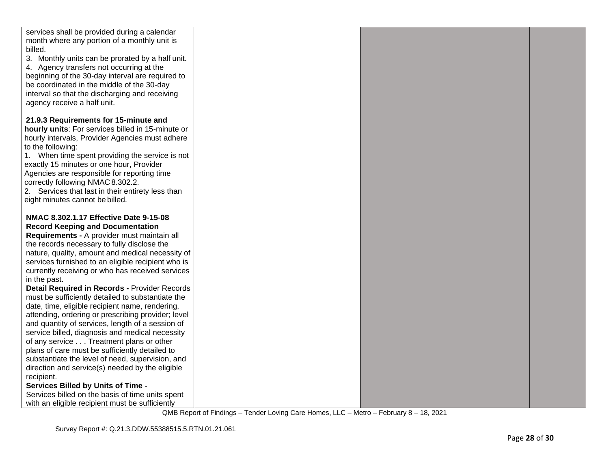| services shall be provided during a calendar                                                        |  |  |
|-----------------------------------------------------------------------------------------------------|--|--|
| month where any portion of a monthly unit is                                                        |  |  |
| billed.                                                                                             |  |  |
| 3. Monthly units can be prorated by a half unit.<br>4. Agency transfers not occurring at the        |  |  |
| beginning of the 30-day interval are required to                                                    |  |  |
| be coordinated in the middle of the 30-day                                                          |  |  |
| interval so that the discharging and receiving                                                      |  |  |
| agency receive a half unit.                                                                         |  |  |
|                                                                                                     |  |  |
| 21.9.3 Requirements for 15-minute and                                                               |  |  |
| hourly units: For services billed in 15-minute or                                                   |  |  |
| hourly intervals, Provider Agencies must adhere                                                     |  |  |
| to the following:                                                                                   |  |  |
| 1. When time spent providing the service is not                                                     |  |  |
| exactly 15 minutes or one hour, Provider                                                            |  |  |
| Agencies are responsible for reporting time                                                         |  |  |
| correctly following NMAC 8.302.2.                                                                   |  |  |
| 2. Services that last in their entirety less than                                                   |  |  |
| eight minutes cannot be billed.                                                                     |  |  |
| NMAC 8.302.1.17 Effective Date 9-15-08                                                              |  |  |
| <b>Record Keeping and Documentation</b>                                                             |  |  |
| Requirements - A provider must maintain all                                                         |  |  |
| the records necessary to fully disclose the                                                         |  |  |
| nature, quality, amount and medical necessity of                                                    |  |  |
| services furnished to an eligible recipient who is                                                  |  |  |
| currently receiving or who has received services                                                    |  |  |
| in the past.                                                                                        |  |  |
| Detail Required in Records - Provider Records                                                       |  |  |
| must be sufficiently detailed to substantiate the                                                   |  |  |
| date, time, eligible recipient name, rendering,                                                     |  |  |
| attending, ordering or prescribing provider; level                                                  |  |  |
| and quantity of services, length of a session of<br>service billed, diagnosis and medical necessity |  |  |
| of any service Treatment plans or other                                                             |  |  |
| plans of care must be sufficiently detailed to                                                      |  |  |
| substantiate the level of need, supervision, and                                                    |  |  |
| direction and service(s) needed by the eligible                                                     |  |  |
| recipient.                                                                                          |  |  |
| <b>Services Billed by Units of Time -</b>                                                           |  |  |
| Services billed on the basis of time units spent                                                    |  |  |
| with an eligible recipient must be sufficiently                                                     |  |  |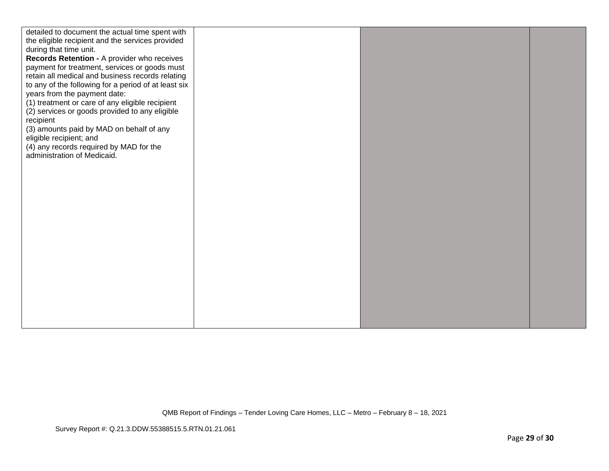| detailed to document the actual time spent with      |  |  |
|------------------------------------------------------|--|--|
| the eligible recipient and the services provided     |  |  |
| during that time unit.                               |  |  |
| Records Retention - A provider who receives          |  |  |
| payment for treatment, services or goods must        |  |  |
| retain all medical and business records relating     |  |  |
| to any of the following for a period of at least six |  |  |
| years from the payment date:                         |  |  |
| (1) treatment or care of any eligible recipient      |  |  |
| (2) services or goods provided to any eligible       |  |  |
| recipient                                            |  |  |
| (3) amounts paid by MAD on behalf of any             |  |  |
| eligible recipient; and                              |  |  |
| (4) any records required by MAD for the              |  |  |
| administration of Medicaid.                          |  |  |
|                                                      |  |  |
|                                                      |  |  |
|                                                      |  |  |
|                                                      |  |  |
|                                                      |  |  |
|                                                      |  |  |
|                                                      |  |  |
|                                                      |  |  |
|                                                      |  |  |
|                                                      |  |  |
|                                                      |  |  |
|                                                      |  |  |
|                                                      |  |  |
|                                                      |  |  |
|                                                      |  |  |
|                                                      |  |  |
|                                                      |  |  |
|                                                      |  |  |